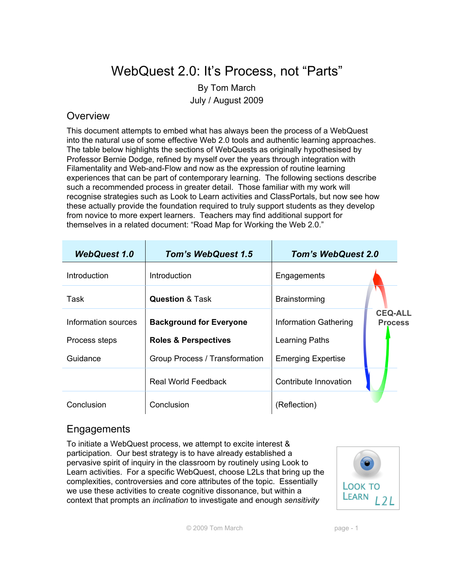# WebQuest 2.0: It's Process, not "Parts"

By Tom March July / August 2009

#### **Overview**

This document attempts to embed what has always been the process of a WebQuest into the natural use of some effective Web 2.0 tools and authentic learning approaches. The table below highlights the sections of WebQuests as originally hypothesised by Professor Bernie Dodge, refined by myself over the years through integration with Filamentality and Web-and-Flow and now as the expression of routine learning experiences that can be part of contemporary learning. The following sections describe such a recommended process in greater detail. Those familiar with my work will recognise strategies such as Look to Learn activities and ClassPortals, but now see how these actually provide the foundation required to truly support students as they develop from novice to more expert learners. Teachers may find additional support for themselves in a related document: "Road Map for Working the Web 2.0."

| <b>WebQuest 1.0</b> | <b>Tom's WebQuest 1.5</b>       | <b>Tom's WebQuest 2.0</b>    |                                  |
|---------------------|---------------------------------|------------------------------|----------------------------------|
| <b>Introduction</b> | <i>Introduction</i>             | Engagements                  |                                  |
| Task                | <b>Question &amp; Task</b>      | <b>Brainstorming</b>         |                                  |
| Information sources | <b>Background for Everyone</b>  | <b>Information Gathering</b> | <b>CEQ-ALL</b><br><b>Process</b> |
| Process steps       | <b>Roles &amp; Perspectives</b> | Learning Paths               |                                  |
| Guidance            | Group Process / Transformation  | <b>Emerging Expertise</b>    |                                  |
|                     | <b>Real World Feedback</b>      | Contribute Innovation        |                                  |
| Conclusion          | Conclusion                      | (Reflection)                 |                                  |

#### **Engagements**

To initiate a WebQuest process, we attempt to excite interest & participation. Our best strategy is to have already established a pervasive spirit of inquiry in the classroom by routinely using Look to Learn activities. For a specific WebQuest, choose L2Ls that bring up the complexities, controversies and core attributes of the topic. Essentially we use these activities to create cognitive dissonance, but within a context that prompts an *inclination* to investigate and enough *sensitivity*



© 2009 Tom March page - 1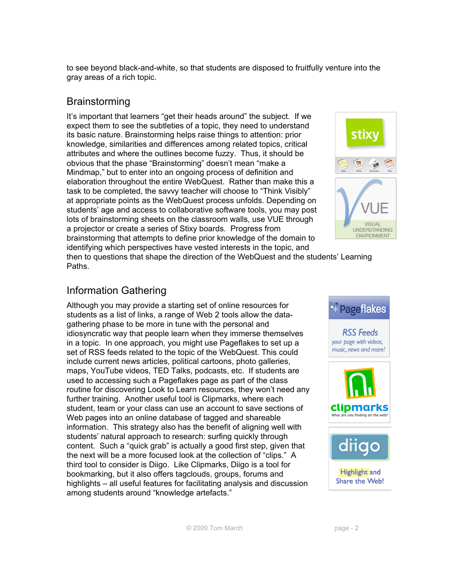to see beyond black-and-white, so that students are disposed to fruitfully venture into the gray areas of a rich topic.

### **Brainstorming**

It's important that learners "get their heads around" the subject. If we expect them to see the subtleties of a topic, they need to understand its basic nature. Brainstorming helps raise things to attention: prior knowledge, similarities and differences among related topics, critical attributes and where the outlines become fuzzy. Thus, it should be obvious that the phase "Brainstorming" doesn't mean "make a Mindmap," but to enter into an ongoing process of definition and elaboration throughout the entire WebQuest. Rather than make this a task to be completed, the savvy teacher will choose to "Think Visibly" at appropriate points as the WebQuest process unfolds. Depending on students' age and access to collaborative software tools, you may post lots of brainstorming sheets on the classroom walls, use VUE through a projector or create a series of Stixy boards. Progress from brainstorming that attempts to define prior knowledge of the domain to identifying which perspectives have vested interests in the topic, and



then to questions that shape the direction of the WebQuest and the students' Learning Paths.

#### Information Gathering

Although you may provide a starting set of online resources for students as a list of links, a range of Web 2 tools allow the datagathering phase to be more in tune with the personal and idiosyncratic way that people learn when they immerse themselves in a topic. In one approach, you might use Pageflakes to set up a set of RSS feeds related to the topic of the WebQuest. This could include current news articles, political cartoons, photo galleries, maps, YouTube videos, TED Talks, podcasts, etc. If students are used to accessing such a Pageflakes page as part of the class routine for discovering Look to Learn resources, they won't need any further training. Another useful tool is Clipmarks, where each student, team or your class can use an account to save sections of Web pages into an online database of tagged and shareable information. This strategy also has the benefit of aligning well with students' natural approach to research: surfing quickly through content. Such a "quick grab" is actually a good first step, given that the next will be a more focused look at the collection of "clips." A third tool to consider is Diigo. Like Clipmarks, Diigo is a tool for bookmarking, but it also offers tagclouds, groups, forums and highlights – all useful features for facilitating analysis and discussion among students around "knowledge artefacts."





**Highlight** and Share the Web!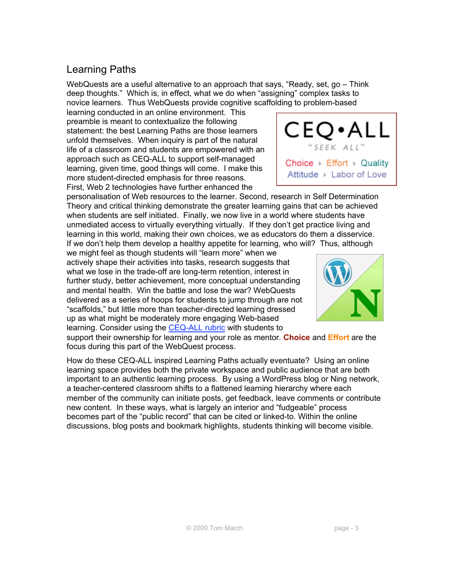### Learning Paths

WebQuests are a useful alternative to an approach that says, "Ready, set, go – Think deep thoughts." Which is, in effect, what we do when "assigning" complex tasks to novice learners. Thus WebQuests provide cognitive scaffolding to problem-based

learning conducted in an online environment. This preamble is meant to contextualize the following statement: the best Learning Paths are those learners unfold themselves. When inquiry is part of the natural life of a classroom and students are empowered with an approach such as CEQ-ALL to support self-managed learning, given time, good things will come. I make this more student-directed emphasis for three reasons. First, Web 2 technologies have further enhanced the

personalisation of Web resources to the learner. Second, research in Self Determination Theory and critical thinking demonstrate the greater learning gains that can be achieved when students are self initiated. Finally, we now live in a world where students have unmediated access to virtually everything virtually. If they don't get practice living and learning in this world, making their own choices, we as educators do them a disservice. If we don't help them develop a healthy appetite for learning, who will? Thus, although

we might feel as though students will "learn more" when we actively shape their activities into tasks, research suggests that what we lose in the trade-off are long-term retention, interest in further study, better achievement, more conceptual understanding and mental health. Win the battle and lose the war? WebQuests delivered as a series of hoops for students to jump through are not "scaffolds," but little more than teacher-directed learning dressed up as what might be moderately more engaging Web-based learning. Consider using the CEQ-ALL rubric with students to

support their ownership for learning and your role as mentor. **Choice** and **Effort** are the focus during this part of the WebQuest process.

How do these CEQ-ALL inspired Learning Paths actually eventuate? Using an online learning space provides both the private workspace and public audience that are both important to an authentic learning process. By using a WordPress blog or Ning network, a teacher-centered classroom shifts to a flattened learning hierarchy where each member of the community can initiate posts, get feedback, leave comments or contribute new content. In these ways, what is largely an interior and "fudgeable" process becomes part of the "public record" that can be cited or linked-to. Within the online discussions, blog posts and bookmark highlights, students thinking will become visible.



CЕ

"SEEK ALL

Choice  $\triangleright$  Effort  $\triangleright$  Quality Attitude ▶ Labor of Love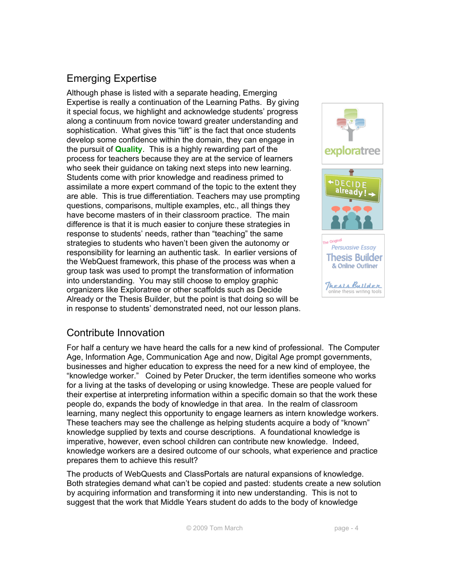## Emerging Expertise

Although phase is listed with a separate heading, Emerging Expertise is really a continuation of the Learning Paths. By giving it special focus, we highlight and acknowledge students' progress along a continuum from novice toward greater understanding and sophistication. What gives this "lift" is the fact that once students develop some confidence within the domain, they can engage in the pursuit of **Quality**. This is a highly rewarding part of the process for teachers because they are at the service of learners who seek their guidance on taking next steps into new learning. Students come with prior knowledge and readiness primed to assimilate a more expert command of the topic to the extent they are able. This is true differentiation. Teachers may use prompting questions, comparisons, multiple examples, etc., all things they have become masters of in their classroom practice. The main difference is that it is much easier to conjure these strategies in response to students' needs, rather than "teaching" the same strategies to students who haven't been given the autonomy or responsibility for learning an authentic task. In earlier versions of the WebQuest framework, this phase of the process was when a group task was used to prompt the transformation of information into understanding. You may still choose to employ graphic organizers like Exploratree or other scaffolds such as Decide Already or the Thesis Builder, but the point is that doing so will be in response to students' demonstrated need, not our lesson plans.



#### Contribute Innovation

For half a century we have heard the calls for a new kind of professional. The Computer Age, Information Age, Communication Age and now, Digital Age prompt governments, businesses and higher education to express the need for a new kind of employee, the "knowledge worker." Coined by Peter Drucker, the term identifies someone who works for a living at the tasks of developing or using knowledge. These are people valued for their expertise at interpreting information within a specific domain so that the work these people do, expands the body of knowledge in that area. In the realm of classroom learning, many neglect this opportunity to engage learners as intern knowledge workers. These teachers may see the challenge as helping students acquire a body of "known" knowledge supplied by texts and course descriptions. A foundational knowledge is imperative, however, even school children can contribute new knowledge. Indeed, knowledge workers are a desired outcome of our schools, what experience and practice prepares them to achieve this result?

The products of WebQuests and ClassPortals are natural expansions of knowledge. Both strategies demand what can't be copied and pasted: students create a new solution by acquiring information and transforming it into new understanding. This is not to suggest that the work that Middle Years student do adds to the body of knowledge